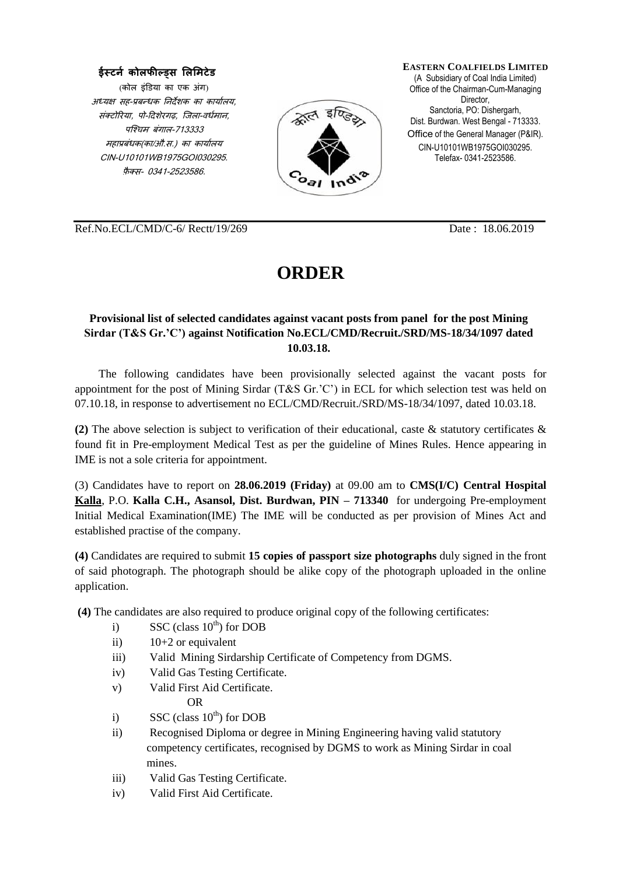## **ईस्टर्न कोलफील्ड्स लललिटेड**

(कोल इंडिया का एक अंग) अध्यक्ष सह-प्रबन्धक निर्देशक का कार्यालय, संक्टोरिया, पो-दिशेरगढ, जिला-वर्धमान, पजचिम बंगाल-713333 महाप्रबंधक(का/औ.स.) का कार्यालय CIN-U10101WB1975GOI030295. फ़ै क्स- 0341-2523586.



**EASTERN COALFIELDS LIMITED** (A Subsidiary of Coal India Limited) Office of the Chairman-Cum-Managing Director. Sanctoria, PO: Dishergarh, Dist. Burdwan. West Bengal - 713333. Office of the General Manager (P&IR). CIN-U10101WB1975GOI030295. Telefax- 0341-2523586.

Ref.No.ECL/CMD/C-6/ Rectt/19/269 Date : 18.06.2019

## **ORDER**

## **Provisional list of selected candidates against vacant posts from panel for the post Mining Sirdar (T&S Gr.'C') against Notification No.ECL/CMD/Recruit./SRD/MS-18/34/1097 dated 10.03.18.**

The following candidates have been provisionally selected against the vacant posts for appointment for the post of Mining Sirdar (T&S Gr.'C') in ECL for which selection test was held on 07.10.18, in response to advertisement no ECL/CMD/Recruit./SRD/MS-18/34/1097, dated 10.03.18.

**(2)** The above selection is subject to verification of their educational, caste & statutory certificates & found fit in Pre-employment Medical Test as per the guideline of Mines Rules. Hence appearing in IME is not a sole criteria for appointment.

(3) Candidates have to report on **28.06.2019 (Friday)** at 09.00 am to **CMS(I/C) Central Hospital Kalla**, P.O. **Kalla C.H., Asansol, Dist. Burdwan, PIN – 713340** for undergoing Pre-employment Initial Medical Examination(IME) The IME will be conducted as per provision of Mines Act and established practise of the company.

**(4)** Candidates are required to submit **15 copies of passport size photographs** duly signed in the front of said photograph. The photograph should be alike copy of the photograph uploaded in the online application.

**(4)** The candidates are also required to produce original copy of the following certificates:

- i) SSC (class  $10^{th}$ ) for DOB
- ii) 10+2 or equivalent
- iii) Valid Mining Sirdarship Certificate of Competency from DGMS.
- iv) Valid Gas Testing Certificate.
- v) Valid First Aid Certificate.

OR

- i) SSC (class  $10^{th}$ ) for DOB
- ii) Recognised Diploma or degree in Mining Engineering having valid statutory competency certificates, recognised by DGMS to work as Mining Sirdar in coal mines.
- iii) Valid Gas Testing Certificate.
- iv) Valid First Aid Certificate.